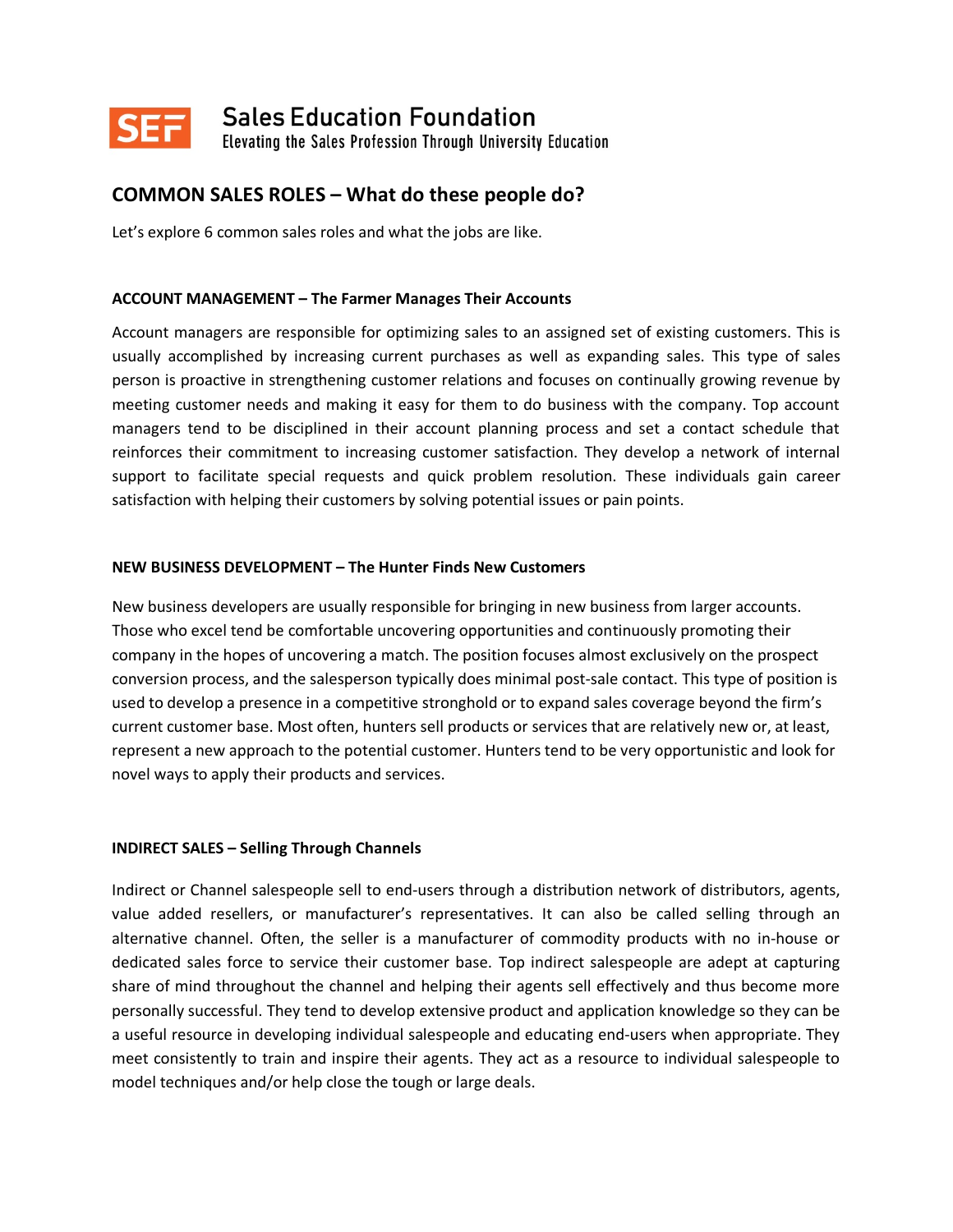

**SEF** Sales Education Foundation

Elevating the Sales Profession Through University Education

# **COMMON SALES ROLES – What do these people do?**

Let's explore 6 common sales roles and what the jobs are like.

## **ACCOUNT MANAGEMENT – The Farmer Manages Their Accounts**

Account managers are responsible for optimizing sales to an assigned set of existing customers. This is usually accomplished by increasing current purchases as well as expanding sales. This type of sales person is proactive in strengthening customer relations and focuses on continually growing revenue by meeting customer needs and making it easy for them to do business with the company. Top account managers tend to be disciplined in their account planning process and set a contact schedule that reinforces their commitment to increasing customer satisfaction. They develop a network of internal support to facilitate special requests and quick problem resolution. These individuals gain career satisfaction with helping their customers by solving potential issues or pain points.

## **NEW BUSINESS DEVELOPMENT – The Hunter Finds New Customers**

New business developers are usually responsible for bringing in new business from larger accounts. Those who excel tend be comfortable uncovering opportunities and continuously promoting their company in the hopes of uncovering a match. The position focuses almost exclusively on the prospect conversion process, and the salesperson typically does minimal post-sale contact. This type of position is used to develop a presence in a competitive stronghold or to expand sales coverage beyond the firm's current customer base. Most often, hunters sell products or services that are relatively new or, at least, represent a new approach to the potential customer. Hunters tend to be very opportunistic and look for novel ways to apply their products and services.

## **INDIRECT SALES – Selling Through Channels**

Indirect or Channel salespeople sell to end-users through a distribution network of distributors, agents, value added resellers, or manufacturer's representatives. It can also be called selling through an alternative channel. Often, the seller is a manufacturer of commodity products with no in-house or dedicated sales force to service their customer base. Top indirect salespeople are adept at capturing share of mind throughout the channel and helping their agents sell effectively and thus become more personally successful. They tend to develop extensive product and application knowledge so they can be a useful resource in developing individual salespeople and educating end-users when appropriate. They meet consistently to train and inspire their agents. They act as a resource to individual salespeople to model techniques and/or help close the tough or large deals.